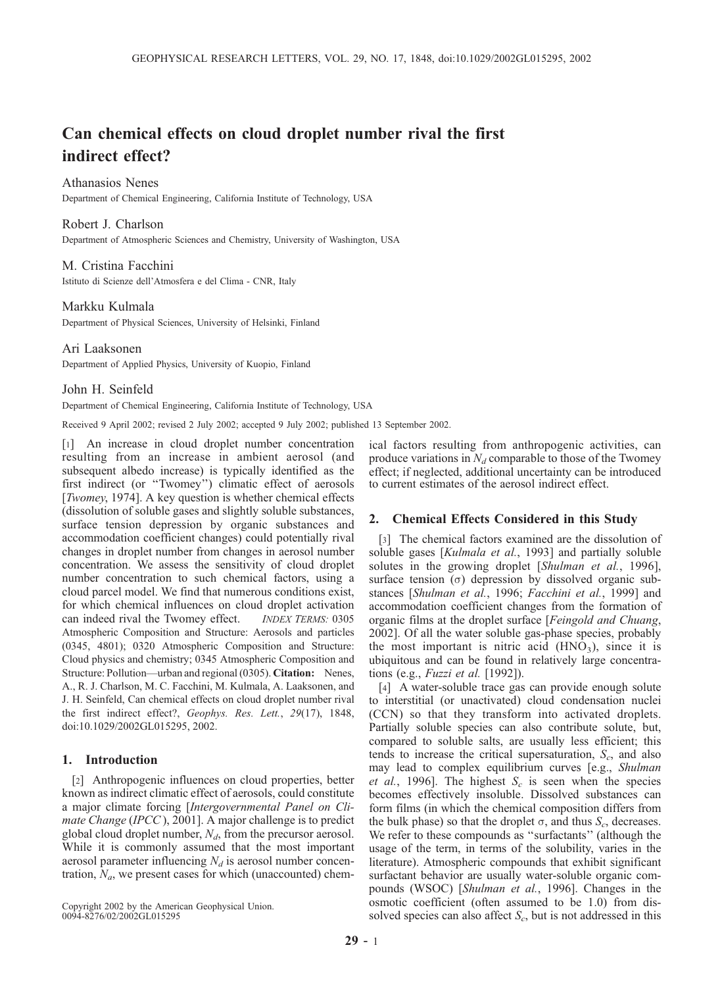# Can chemical effects on cloud droplet number rival the first indirect effect?

Athanasios Nenes

Department of Chemical Engineering, California Institute of Technology, USA

#### Robert J. Charlson

Department of Atmospheric Sciences and Chemistry, University of Washington, USA

#### M. Cristina Facchini

Istituto di Scienze dell'Atmosfera e del Clima - CNR, Italy

## Markku Kulmala

Department of Physical Sciences, University of Helsinki, Finland

#### Ari Laaksonen

Department of Applied Physics, University of Kuopio, Finland

#### John H. Seinfeld

Department of Chemical Engineering, California Institute of Technology, USA

Received 9 April 2002; revised 2 July 2002; accepted 9 July 2002; published 13 September 2002.

[1] An increase in cloud droplet number concentration resulting from an increase in ambient aerosol (and subsequent albedo increase) is typically identified as the first indirect (or ''Twomey'') climatic effect of aerosols [*Twomey*, 1974]. A key question is whether chemical effects (dissolution of soluble gases and slightly soluble substances, surface tension depression by organic substances and accommodation coefficient changes) could potentially rival changes in droplet number from changes in aerosol number concentration. We assess the sensitivity of cloud droplet number concentration to such chemical factors, using a cloud parcel model. We find that numerous conditions exist, for which chemical influences on cloud droplet activation can indeed rival the Twomey effect. INDEX TERMS: 0305 Atmospheric Composition and Structure: Aerosols and particles (0345, 4801); 0320 Atmospheric Composition and Structure: Cloud physics and chemistry; 0345 Atmospheric Composition and Structure: Pollution—urban and regional (0305). Citation: Nenes, A., R. J. Charlson, M. C. Facchini, M. Kulmala, A. Laaksonen, and J. H. Seinfeld, Can chemical effects on cloud droplet number rival the first indirect effect?, Geophys. Res. Lett., 29(17), 1848, doi:10.1029/2002GL015295, 2002.

## 1. Introduction

[2] Anthropogenic influences on cloud properties, better known as indirect climatic effect of aerosols, could constitute a major climate forcing [Intergovernmental Panel on Climate Change (IPCC), 2001]. A major challenge is to predict global cloud droplet number,  $N_d$ , from the precursor aerosol. While it is commonly assumed that the most important aerosol parameter influencing  $N_d$  is aerosol number concentration,  $N_a$ , we present cases for which (unaccounted) chem-

Copyright 2002 by the American Geophysical Union. 0094-8276/02/2002GL015295

ical factors resulting from anthropogenic activities, can produce variations in  $N_d$  comparable to those of the Twomey effect; if neglected, additional uncertainty can be introduced to current estimates of the aerosol indirect effect.

## 2. Chemical Effects Considered in this Study

[3] The chemical factors examined are the dissolution of soluble gases [Kulmala et al., 1993] and partially soluble solutes in the growing droplet [Shulman et al., 1996], surface tension  $(\sigma)$  depression by dissolved organic substances [Shulman et al., 1996; Facchini et al., 1999] and accommodation coefficient changes from the formation of organic films at the droplet surface [Feingold and Chuang, 2002]. Of all the water soluble gas-phase species, probably the most important is nitric acid  $(HNO<sub>3</sub>)$ , since it is ubiquitous and can be found in relatively large concentrations (e.g., Fuzzi et al. [1992]).

[4] A water-soluble trace gas can provide enough solute to interstitial (or unactivated) cloud condensation nuclei (CCN) so that they transform into activated droplets. Partially soluble species can also contribute solute, but, compared to soluble salts, are usually less efficient; this tends to increase the critical supersaturation,  $S_c$ , and also may lead to complex equilibrium curves [e.g., Shulman et al., 1996]. The highest  $S_c$  is seen when the species becomes effectively insoluble. Dissolved substances can form films (in which the chemical composition differs from the bulk phase) so that the droplet  $\sigma$ , and thus  $S_c$ , decreases. We refer to these compounds as ''surfactants'' (although the usage of the term, in terms of the solubility, varies in the literature). Atmospheric compounds that exhibit significant surfactant behavior are usually water-soluble organic compounds (WSOC) [Shulman et al., 1996]. Changes in the osmotic coefficient (often assumed to be 1.0) from dissolved species can also affect  $S_c$ , but is not addressed in this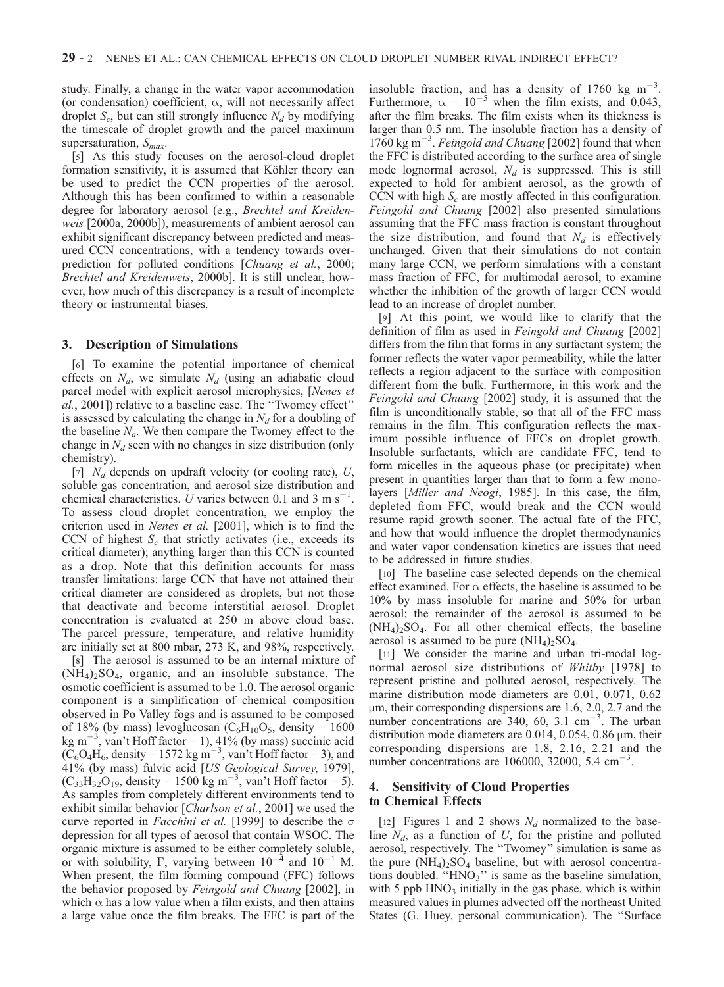study. Finally, a change in the water vapor accommodation (or condensation) coefficient,  $\alpha$ , will not necessarily affect droplet  $S_c$ , but can still strongly influence  $N_d$  by modifying the timescale of droplet growth and the parcel maximum supersaturation,  $S_{max}$ .

[5] As this study focuses on the aerosol-cloud droplet formation sensitivity, it is assumed that Köhler theory can be used to predict the CCN properties of the aerosol. Although this has been confirmed to within a reasonable degree for laboratory aerosol (e.g., Brechtel and Kreidenweis [2000a, 2000b]), measurements of ambient aerosol can exhibit significant discrepancy between predicted and measured CCN concentrations, with a tendency towards overprediction for polluted conditions [Chuang et al., 2000; Brechtel and Kreidenweis, 2000b]. It is still unclear, however, how much of this discrepancy is a result of incomplete theory or instrumental biases.

#### 3. Description of Simulations

[6] To examine the potential importance of chemical effects on  $N_d$ , we simulate  $N_d$  (using an adiabatic cloud parcel model with explicit aerosol microphysics, [Nenes et al., 2001]) relative to a baseline case. The ''Twomey effect'' is assessed by calculating the change in  $N_d$  for a doubling of the baseline  $N_a$ . We then compare the Twomey effect to the change in  $N_d$  seen with no changes in size distribution (only chemistry).

[7]  $N_d$  depends on updraft velocity (or cooling rate), U, soluble gas concentration, and aerosol size distribution and chemical characteristics. U varies between 0.1 and 3 m s<sup>-1</sup>. To assess cloud droplet concentration, we employ the criterion used in Nenes et al. [2001], which is to find the CCN of highest  $S_c$  that strictly activates (i.e., exceeds its critical diameter); anything larger than this CCN is counted as a drop. Note that this definition accounts for mass transfer limitations: large CCN that have not attained their critical diameter are considered as droplets, but not those that deactivate and become interstitial aerosol. Droplet concentration is evaluated at 250 m above cloud base. The parcel pressure, temperature, and relative humidity are initially set at 800 mbar, 273 K, and 98%, respectively.

[8] The aerosol is assumed to be an internal mixture of  $(NH_4)$ <sub>2</sub>SO<sub>4</sub>, organic, and an insoluble substance. The osmotic coefficient is assumed to be 1.0. The aerosol organic component is a simplification of chemical composition observed in Po Valley fogs and is assumed to be composed of 18% (by mass) levoglucosan ( $C_6H_{10}O_5$ , density = 1600 kg m<sup>-3</sup>, van't Hoff factor = 1), 41% (by mass) succinic acid  $(\text{C}_6\text{O}_4\text{H}_6)$ , density = 1572 kg m<sup>-3</sup>, van't Hoff factor = 3), and 41% (by mass) fulvic acid [US Geological Survey, 1979],  $(C_{33}H_{32}O_{19}$ , density = 1500 kg m<sup>-3</sup>, van't Hoff factor = 5). As samples from completely different environments tend to exhibit similar behavior [Charlson et al., 2001] we used the curve reported in *Facchini et al.* [1999] to describe the  $\sigma$ depression for all types of aerosol that contain WSOC. The organic mixture is assumed to be either completely soluble, or with solubility,  $\Gamma$ , varying between  $10^{-4}$  and  $10^{-1}$  M. When present, the film forming compound (FFC) follows the behavior proposed by Feingold and Chuang [2002], in which  $\alpha$  has a low value when a film exists, and then attains a large value once the film breaks. The FFC is part of the

insoluble fraction, and has a density of 1760 kg  $m^{-3}$ . Furthermore,  $\alpha = 10^{-5}$  when the film exists, and 0.043, after the film breaks. The film exists when its thickness is larger than 0.5 nm. The insoluble fraction has a density of  $1760 \text{ kg m}^{-3}$ . Feingold and Chuang [2002] found that when the FFC is distributed according to the surface area of single mode lognormal aerosol,  $N_d$  is suppressed. This is still expected to hold for ambient aerosol, as the growth of CCN with high  $S_c$  are mostly affected in this configuration. Feingold and Chuang [2002] also presented simulations assuming that the FFC mass fraction is constant throughout the size distribution, and found that  $N_d$  is effectively unchanged. Given that their simulations do not contain many large CCN, we perform simulations with a constant mass fraction of FFC, for multimodal aerosol, to examine whether the inhibition of the growth of larger CCN would lead to an increase of droplet number.

[9] At this point, we would like to clarify that the definition of film as used in Feingold and Chuang [2002] differs from the film that forms in any surfactant system; the former reflects the water vapor permeability, while the latter reflects a region adjacent to the surface with composition different from the bulk. Furthermore, in this work and the Feingold and Chuang [2002] study, it is assumed that the film is unconditionally stable, so that all of the FFC mass remains in the film. This configuration reflects the maximum possible influence of FFCs on droplet growth. Insoluble surfactants, which are candidate FFC, tend to form micelles in the aqueous phase (or precipitate) when present in quantities larger than that to form a few monolayers [Miller and Neogi, 1985]. In this case, the film, depleted from FFC, would break and the CCN would resume rapid growth sooner. The actual fate of the FFC, and how that would influence the droplet thermodynamics and water vapor condensation kinetics are issues that need to be addressed in future studies.

[10] The baseline case selected depends on the chemical effect examined. For  $\alpha$  effects, the baseline is assumed to be 10% by mass insoluble for marine and 50% for urban aerosol; the remainder of the aerosol is assumed to be  $(NH_4)_2SO_4$ . For all other chemical effects, the baseline aerosol is assumed to be pure  $(NH_4)$ <sub>2</sub>SO<sub>4</sub>.

[11] We consider the marine and urban tri-modal lognormal aerosol size distributions of Whitby [1978] to represent pristine and polluted aerosol, respectively. The marine distribution mode diameters are 0.01, 0.071, 0.62  $\mu$ m, their corresponding dispersions are 1.6, 2.0, 2.7 and the number concentrations are  $340, 60, 3.1 \text{ cm}^{-3}$ . The urban distribution mode diameters are 0.014, 0.054, 0.86  $\mu$ m, their corresponding dispersions are 1.8, 2.16, 2.21 and the number concentrations are 106000, 32000, 5.4  $\text{cm}^{-3}$ .

## 4. Sensitivity of Cloud Properties to Chemical Effects

[12] Figures 1 and 2 shows  $N_d$  normalized to the baseline  $N_d$ , as a function of U, for the pristine and polluted aerosol, respectively. The ''Twomey'' simulation is same as the pure  $(NH_4)$ <sub>2</sub> $SO_4$  baseline, but with aerosol concentrations doubled. " $HNO<sub>3</sub>$ " is same as the baseline simulation, with 5 ppb  $HNO<sub>3</sub>$  initially in the gas phase, which is within measured values in plumes advected off the northeast United States (G. Huey, personal communication). The ''Surface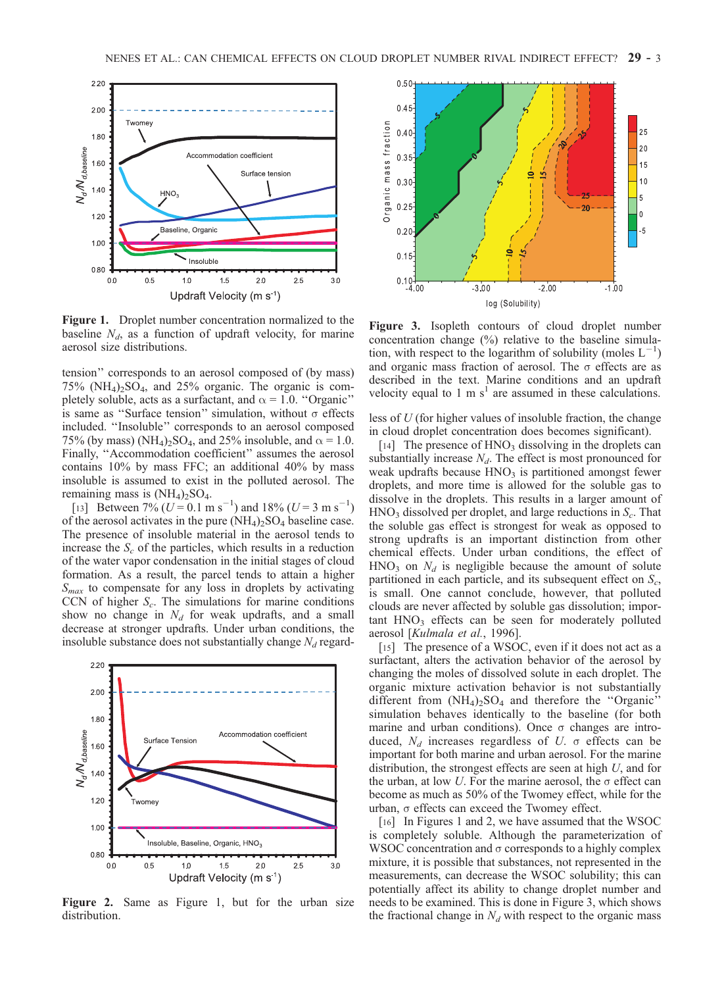

Figure 1. Droplet number concentration normalized to the baseline  $N_d$ , as a function of updraft velocity, for marine aerosol size distributions.

tension'' corresponds to an aerosol composed of (by mass)  $75\%$  (NH<sub>4</sub>)<sub>2</sub>SO<sub>4</sub>, and 25% organic. The organic is completely soluble, acts as a surfactant, and  $\alpha = 1.0$ . "Organic" is same as "Surface tension" simulation, without  $\sigma$  effects included. ''Insoluble'' corresponds to an aerosol composed 75% (by mass) (NH<sub>4</sub>)<sub>2</sub>SO<sub>4</sub>, and 25% insoluble, and  $\alpha$  = 1.0. Finally, ''Accommodation coefficient'' assumes the aerosol contains 10% by mass FFC; an additional 40% by mass insoluble is assumed to exist in the polluted aerosol. The remaining mass is  $(NH<sub>4</sub>)<sub>2</sub>SO<sub>4</sub>$ .

[13] Between  $7\%$  ( $U = 0.1$  m s<sup>-1</sup>) and 18% ( $U = 3$  m s<sup>-1</sup>) of the aerosol activates in the pure  $(NH_4)_2SO_4$  baseline case. The presence of insoluble material in the aerosol tends to increase the  $S_c$  of the particles, which results in a reduction of the water vapor condensation in the initial stages of cloud formation. As a result, the parcel tends to attain a higher  $S<sub>max</sub>$  to compensate for any loss in droplets by activating CCN of higher  $S_c$ . The simulations for marine conditions show no change in  $N_d$  for weak updrafts, and a small decrease at stronger updrafts. Under urban conditions, the insoluble substance does not substantially change  $N_d$  regard-



Figure 2. Same as Figure 1, but for the urban size distribution.



Figure 3. Isopleth contours of cloud droplet number concentration change (%) relative to the baseline simulation, with respect to the logarithm of solubility (moles  $L^{-1}$ ) and organic mass fraction of aerosol. The  $\sigma$  effects are as described in the text. Marine conditions and an updraft velocity equal to 1 m  $s<sup>1</sup>$  are assumed in these calculations.

less of U (for higher values of insoluble fraction, the change in cloud droplet concentration does becomes significant).

[14] The presence of  $HNO<sub>3</sub>$  dissolving in the droplets can substantially increase  $N_d$ . The effect is most pronounced for weak updrafts because  $HNO<sub>3</sub>$  is partitioned amongst fewer droplets, and more time is allowed for the soluble gas to dissolve in the droplets. This results in a larger amount of  $HNO<sub>3</sub>$  dissolved per droplet, and large reductions in  $S<sub>c</sub>$ . That the soluble gas effect is strongest for weak as opposed to strong updrafts is an important distinction from other chemical effects. Under urban conditions, the effect of  $HNO<sub>3</sub>$  on  $N<sub>d</sub>$  is negligible because the amount of solute partitioned in each particle, and its subsequent effect on  $S_c$ , is small. One cannot conclude, however, that polluted clouds are never affected by soluble gas dissolution; impor $t$ ant  $HNO<sub>3</sub>$  effects can be seen for moderately polluted aerosol [Kulmala et al., 1996].

[15] The presence of a WSOC, even if it does not act as a surfactant, alters the activation behavior of the aerosol by changing the moles of dissolved solute in each droplet. The organic mixture activation behavior is not substantially different from  $(NH_4)_2SO_4$  and therefore the "Organic" simulation behaves identically to the baseline (for both marine and urban conditions). Once  $\sigma$  changes are introduced,  $N_d$  increases regardless of U.  $\sigma$  effects can be important for both marine and urban aerosol. For the marine distribution, the strongest effects are seen at high U, and for the urban, at low  $U$ . For the marine aerosol, the  $\sigma$  effect can become as much as 50% of the Twomey effect, while for the urban,  $\sigma$  effects can exceed the Twomey effect.

[16] In Figures 1 and 2, we have assumed that the WSOC is completely soluble. Although the parameterization of WSOC concentration and  $\sigma$  corresponds to a highly complex mixture, it is possible that substances, not represented in the measurements, can decrease the WSOC solubility; this can potentially affect its ability to change droplet number and needs to be examined. This is done in Figure 3, which shows the fractional change in  $N_d$  with respect to the organic mass